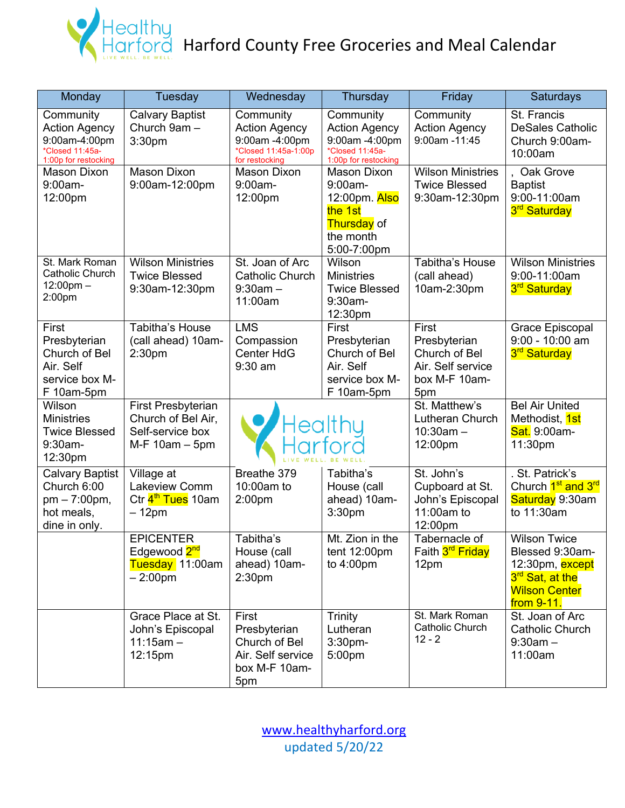

Healthy<br>Harford Harford County Free Groceries and Meal Calendar

| Monday                                                                                        | Tuesday                                                                          | Wednesday                                                                                     | Thursday                                                                                                | Friday                                                                              | Saturdays                                                                                                                        |
|-----------------------------------------------------------------------------------------------|----------------------------------------------------------------------------------|-----------------------------------------------------------------------------------------------|---------------------------------------------------------------------------------------------------------|-------------------------------------------------------------------------------------|----------------------------------------------------------------------------------------------------------------------------------|
| Community<br><b>Action Agency</b><br>9:00am-4:00pm<br>*Closed 11:45a-<br>1:00p for restocking | <b>Calvary Baptist</b><br>Church 9am -<br>3:30 <sub>pm</sub>                     | Community<br><b>Action Agency</b><br>9:00am -4:00pm<br>*Closed 11:45a-1:00p<br>for restocking | Community<br><b>Action Agency</b><br>9:00am -4:00pm<br>*Closed 11:45a-<br>1:00p for restocking          | Community<br><b>Action Agency</b><br>9:00am -11:45                                  | St. Francis<br><b>DeSales Catholic</b><br>Church 9:00am-<br>10:00am                                                              |
| Mason Dixon<br>$9:00am -$<br>12:00pm                                                          | <b>Mason Dixon</b><br>9:00am-12:00pm                                             | <b>Mason Dixon</b><br>$9:00am -$<br>12:00pm                                                   | <b>Mason Dixon</b><br>$9:00am -$<br>12:00pm. Also<br>the 1st<br>Thursday of<br>the month<br>5:00-7:00pm | <b>Wilson Ministries</b><br><b>Twice Blessed</b><br>9:30am-12:30pm                  | . Oak Grove<br><b>Baptist</b><br>9:00-11:00am<br>3 <sup>rd</sup> Saturday                                                        |
| St. Mark Roman<br>Catholic Church<br>$12:00 \text{pm} -$<br>2:00pm                            | <b>Wilson Ministries</b><br><b>Twice Blessed</b><br>9:30am-12:30pm               | St. Joan of Arc<br><b>Catholic Church</b><br>$9:30am -$<br>11:00am                            | Wilson<br><b>Ministries</b><br><b>Twice Blessed</b><br>$9:30$ am-<br>12:30pm                            | Tabitha's House<br>(call ahead)<br>10am-2:30pm                                      | <b>Wilson Ministries</b><br>9:00-11:00am<br>3 <sup>rd</sup> Saturday                                                             |
| First<br>Presbyterian<br>Church of Bel<br>Air. Self<br>service box M-<br>F 10am-5pm           | Tabitha's House<br>(call ahead) 10am-<br>2:30 <sub>pm</sub>                      | <b>LMS</b><br>Compassion<br><b>Center HdG</b><br>$9:30$ am                                    | First<br>Presbyterian<br>Church of Bel<br>Air. Self<br>service box M-<br>F 10am-5pm                     | First<br>Presbyterian<br>Church of Bel<br>Air. Self service<br>box M-F 10am-<br>5pm | <b>Grace Episcopal</b><br>$9:00 - 10:00$ am<br>3 <sup>rd</sup> Saturday                                                          |
| Wilson<br><b>Ministries</b><br><b>Twice Blessed</b><br>9:30am-<br>12:30pm                     | First Presbyterian<br>Church of Bel Air,<br>Self-service box<br>$M-F 10am - 5pm$ |                                                                                               | ealthu                                                                                                  | St. Matthew's<br>Lutheran Church<br>$10:30am -$<br>12:00pm                          | <b>Bel Air United</b><br>Methodist, 1st<br>Sat. 9:00am-<br>11:30pm                                                               |
| <b>Calvary Baptist</b><br>Church 6:00<br>$pm - 7:00pm,$<br>hot meals,<br>dine in only.        | Village at<br><b>Lakeview Comm</b><br>Ctr 4 <sup>th</sup> Tues 10am<br>$-12pm$   | Breathe 379<br>10:00am to<br>2:00 <sub>pm</sub>                                               | Tabitha's<br>House (call<br>ahead) 10am-<br>3:30pm                                                      | St. John's<br>Cupboard at St.<br>John's Episcopal<br>11:00am to<br>12:00pm          | . St. Patrick's<br>Church 1 <sup>st</sup> and 3 <sup>rd</sup><br>Saturday 9:30am<br>to 11:30am                                   |
|                                                                                               | <b>EPICENTER</b><br>Edgewood 2 <sup>nd</sup><br>Tuesday 11:00am<br>$-2:00$ pm    | Tabitha's<br>House (call<br>ahead) 10am-<br>2:30 <sub>pm</sub>                                | Mt. Zion in the<br>tent $12:00 \text{pm}$<br>to $4:00 \text{pm}$                                        | Tabernacle of<br>Faith 3 <sup>rd</sup> Friday<br>12pm                               | <b>Wilson Twice</b><br>Blessed 9:30am-<br>12:30pm, except<br>3 <sup>rd</sup> Sat, at the<br><b>Wilson Center</b><br>$from 9-11.$ |
|                                                                                               | Grace Place at St.<br>John's Episcopal<br>$11:15am -$<br>12:15pm                 | First<br>Presbyterian<br>Church of Bel<br>Air. Self service<br>box M-F 10am-<br>5pm           | Trinity<br>Lutheran<br>3:30pm-<br>5:00pm                                                                | St. Mark Roman<br>Catholic Church<br>$12 - 2$                                       | St. Joan of Arc<br>Catholic Church<br>$9:30am -$<br>11:00am                                                                      |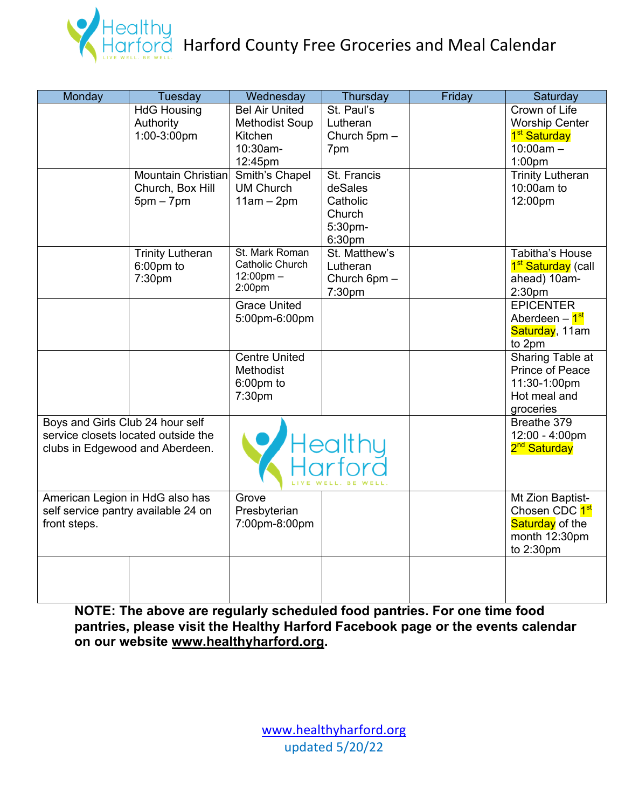

| Monday                                                                  | Tuesday                         | Wednesday                                      | Thursday               | Friday | Saturday                               |
|-------------------------------------------------------------------------|---------------------------------|------------------------------------------------|------------------------|--------|----------------------------------------|
|                                                                         | <b>HdG Housing</b><br>Authority | <b>Bel Air United</b><br><b>Methodist Soup</b> | St. Paul's<br>Lutheran |        | Crown of Life<br><b>Worship Center</b> |
|                                                                         | 1:00-3:00pm                     | Kitchen                                        | Church 5pm -           |        | 1 <sup>st</sup> Saturday               |
|                                                                         |                                 | 10:30am-                                       | 7pm                    |        | $10:00am -$                            |
|                                                                         |                                 | 12:45pm                                        |                        |        | 1:00 <sub>pm</sub>                     |
|                                                                         | Mountain Christian              | Smith's Chapel                                 | St. Francis            |        | <b>Trinity Lutheran</b>                |
|                                                                         | Church, Box Hill                | <b>UM Church</b>                               | deSales                |        | 10:00am to                             |
|                                                                         | $5pm - 7pm$                     | $11am - 2pm$                                   | Catholic<br>Church     |        | 12:00pm                                |
|                                                                         |                                 |                                                | 5:30pm-                |        |                                        |
|                                                                         |                                 |                                                | 6:30pm                 |        |                                        |
|                                                                         | <b>Trinity Lutheran</b>         | St. Mark Roman                                 | St. Matthew's          |        | Tabitha's House                        |
|                                                                         | 6:00pm to                       | Catholic Church                                | Lutheran               |        | 1 <sup>st</sup> Saturday (call         |
|                                                                         | 7:30pm                          | $12:00 \text{pm} -$<br>2:00pm                  | Church 6pm -           |        | ahead) 10am-                           |
|                                                                         |                                 | <b>Grace United</b>                            | 7:30pm                 |        | 2:30 <sub>pm</sub><br><b>EPICENTER</b> |
|                                                                         |                                 | 5:00pm-6:00pm                                  |                        |        | Aberdeen - 1 <sup>st</sup>             |
|                                                                         |                                 |                                                |                        |        | Saturday, 11am                         |
|                                                                         |                                 |                                                |                        |        | to 2pm                                 |
|                                                                         |                                 | <b>Centre United</b>                           |                        |        | Sharing Table at                       |
|                                                                         |                                 | Methodist                                      |                        |        | Prince of Peace                        |
|                                                                         |                                 | 6:00pm to                                      |                        |        | 11:30-1:00pm                           |
|                                                                         |                                 | 7:30pm                                         |                        |        | Hot meal and                           |
|                                                                         |                                 |                                                |                        |        | groceries<br>Breathe 379               |
| Boys and Girls Club 24 hour self<br>service closets located outside the |                                 |                                                |                        |        | $12:00 - 4:00 \text{pm}$               |
| clubs in Edgewood and Aberdeen.                                         |                                 |                                                |                        |        | 2 <sup>nd</sup> Saturday               |
|                                                                         |                                 | tealthy<br>tarford                             |                        |        |                                        |
|                                                                         |                                 |                                                |                        |        |                                        |
| American Legion in HdG also has                                         |                                 | Grove                                          |                        |        | Mt Zion Baptist-                       |
| self service pantry available 24 on                                     |                                 | Presbyterian                                   |                        |        | Chosen CDC 1st                         |
| front steps.                                                            |                                 | 7:00pm-8:00pm                                  |                        |        | Saturday of the                        |
|                                                                         |                                 |                                                |                        |        | month 12:30pm<br>to 2:30pm             |
|                                                                         |                                 |                                                |                        |        |                                        |
|                                                                         |                                 |                                                |                        |        |                                        |
|                                                                         |                                 |                                                |                        |        |                                        |

**NOTE: The above are regularly scheduled food pantries. For one time food pantries, please visit the Healthy Harford Facebook page or the events calendar on our website www.healthyharford.org.**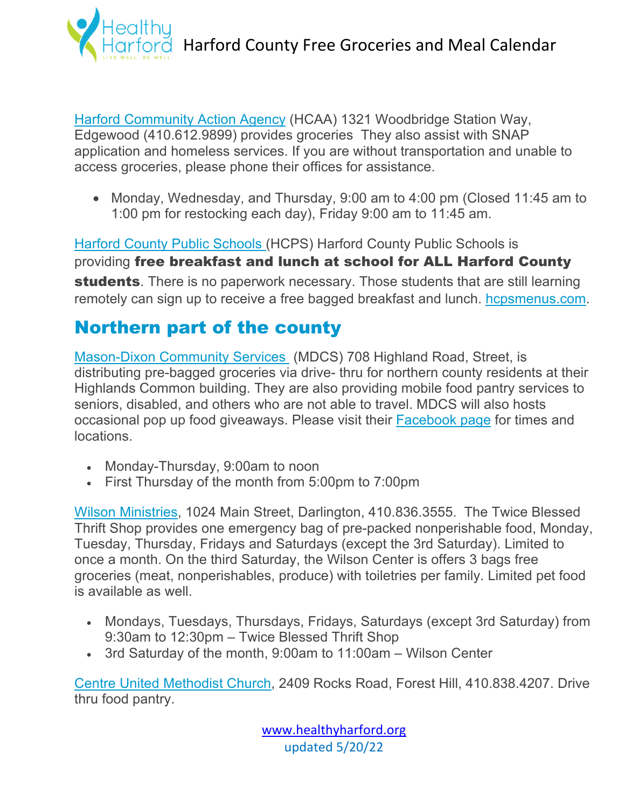

Harford Community Action Agency (HCAA) 1321 Woodbridge Station Way, Edgewood (410.612.9899) provides groceries They also assist with SNAP application and homeless services. If you are without transportation and unable to access groceries, please phone their offices for assistance.

• Monday, Wednesday, and Thursday, 9:00 am to 4:00 pm (Closed 11:45 am to 1:00 pm for restocking each day), Friday 9:00 am to 11:45 am.

Harford County Public Schools (HCPS) Harford County Public Schools is providing free breakfast and lunch at school for ALL Harford County students. There is no paperwork necessary. Those students that are still learning remotely can sign up to receive a free bagged breakfast and lunch. hcpsmenus.com.

#### Northern part of the county

Mason-Dixon Community Services (MDCS) 708 Highland Road, Street, is distributing pre-bagged groceries via drive- thru for northern county residents at their Highlands Common building. They are also providing mobile food pantry services to seniors, disabled, and others who are not able to travel. MDCS will also hosts occasional pop up food giveaways. Please visit their Facebook page for times and locations.

- Monday-Thursday, 9:00am to noon
- First Thursday of the month from 5:00pm to 7:00pm

Wilson Ministries, 1024 Main Street, Darlington, 410.836.3555. The Twice Blessed Thrift Shop provides one emergency bag of pre-packed nonperishable food, Monday, Tuesday, Thursday, Fridays and Saturdays (except the 3rd Saturday). Limited to once a month. On the third Saturday, the Wilson Center is offers 3 bags free groceries (meat, nonperishables, produce) with toiletries per family. Limited pet food is available as well.

- Mondays, Tuesdays, Thursdays, Fridays, Saturdays (except 3rd Saturday) from 9:30am to 12:30pm – Twice Blessed Thrift Shop
- 3rd Saturday of the month, 9:00am to 11:00am Wilson Center

Centre United Methodist Church, 2409 Rocks Road, Forest Hill, 410.838.4207. Drive thru food pantry.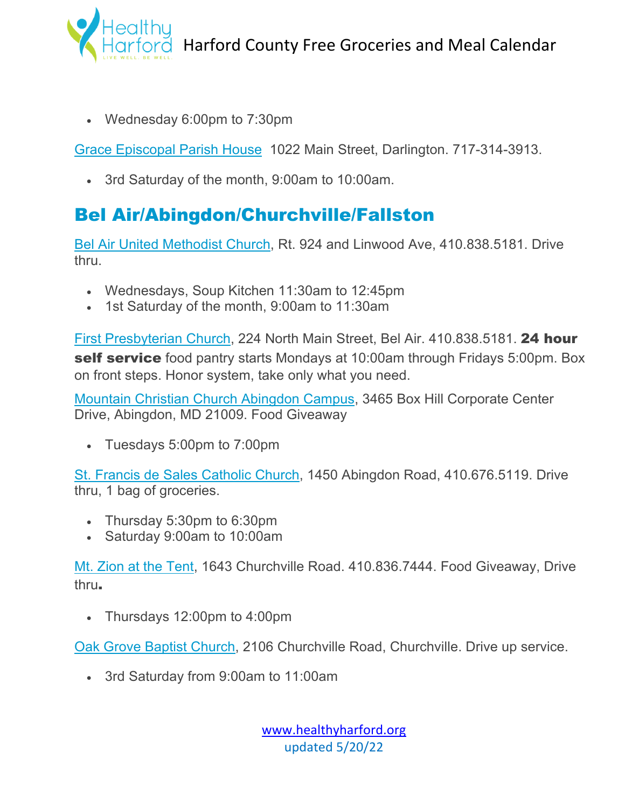• Wednesday 6:00pm to 7:30pm

Grace Episcopal Parish House 1022 Main Street, Darlington. 717-314-3913.

• 3rd Saturday of the month, 9:00am to 10:00am.

## Bel Air/Abingdon/Churchville/Fallston

Bel Air United Methodist Church, Rt. 924 and Linwood Ave, 410.838.5181. Drive thru.

- Wednesdays, Soup Kitchen 11:30am to 12:45pm
- 1st Saturday of the month, 9:00am to 11:30am

First Presbyterian Church, 224 North Main Street, Bel Air. 410.838.5181. 24 hour **self service** food pantry starts Mondays at 10:00am through Fridays 5:00pm. Box on front steps. Honor system, take only what you need.

Mountain Christian Church Abingdon Campus, 3465 Box Hill Corporate Center Drive, Abingdon, MD 21009. Food Giveaway

• Tuesdays 5:00pm to 7:00pm

St. Francis de Sales Catholic Church, 1450 Abingdon Road, 410.676.5119. Drive thru, 1 bag of groceries.

- Thursday 5:30pm to 6:30pm
- Saturday 9:00am to 10:00am

Mt. Zion at the Tent, 1643 Churchville Road. 410.836.7444. Food Giveaway, Drive thru.

• Thursdays 12:00pm to 4:00pm

Oak Grove Baptist Church, 2106 Churchville Road, Churchville. Drive up service.

• 3rd Saturday from 9:00am to 11:00am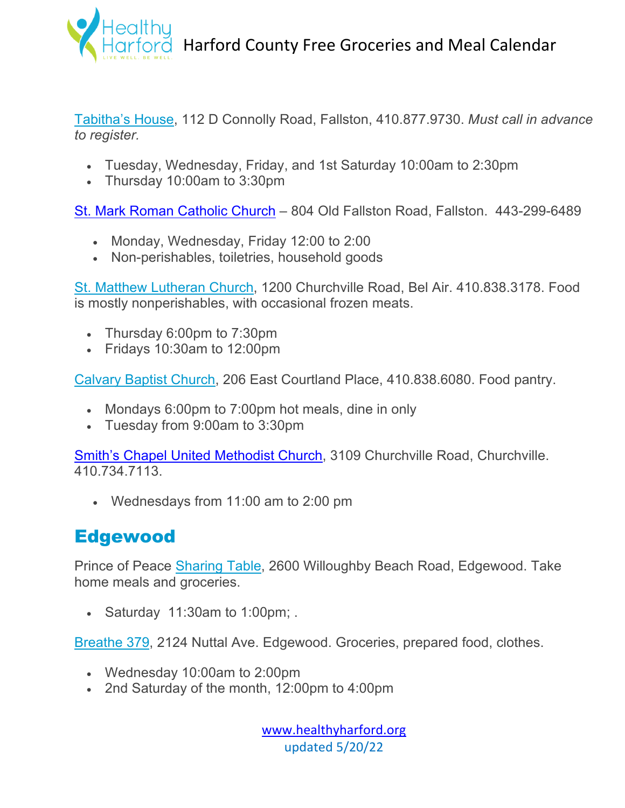

Tabitha's House, 112 D Connolly Road, Fallston, 410.877.9730. *Must call in advance to register.*

- Tuesday, Wednesday, Friday, and 1st Saturday 10:00am to 2:30pm
- Thursday 10:00am to 3:30pm

St. Mark Roman Catholic Church – 804 Old Fallston Road, Fallston. 443-299-6489

- Monday, Wednesday, Friday 12:00 to 2:00
- Non-perishables, toiletries, household goods

St. Matthew Lutheran Church, 1200 Churchville Road, Bel Air. 410.838.3178. Food is mostly nonperishables, with occasional frozen meats.

- Thursday 6:00pm to 7:30pm
- Fridays 10:30am to 12:00pm

Calvary Baptist Church, 206 East Courtland Place, 410.838.6080. Food pantry.

- Mondays 6:00pm to 7:00pm hot meals, dine in only
- Tuesday from 9:00am to 3:30pm

Smith's Chapel United Methodist Church, 3109 Churchville Road, Churchville. 410.734.7113.

• Wednesdays from 11:00 am to 2:00 pm

### Edgewood

Prince of Peace Sharing Table, 2600 Willoughby Beach Road, Edgewood. Take home meals and groceries.

• Saturday 11:30am to 1:00pm;

Breathe 379, 2124 Nuttal Ave. Edgewood. Groceries, prepared food, clothes.

- Wednesday 10:00am to 2:00pm
- 2nd Saturday of the month, 12:00pm to 4:00pm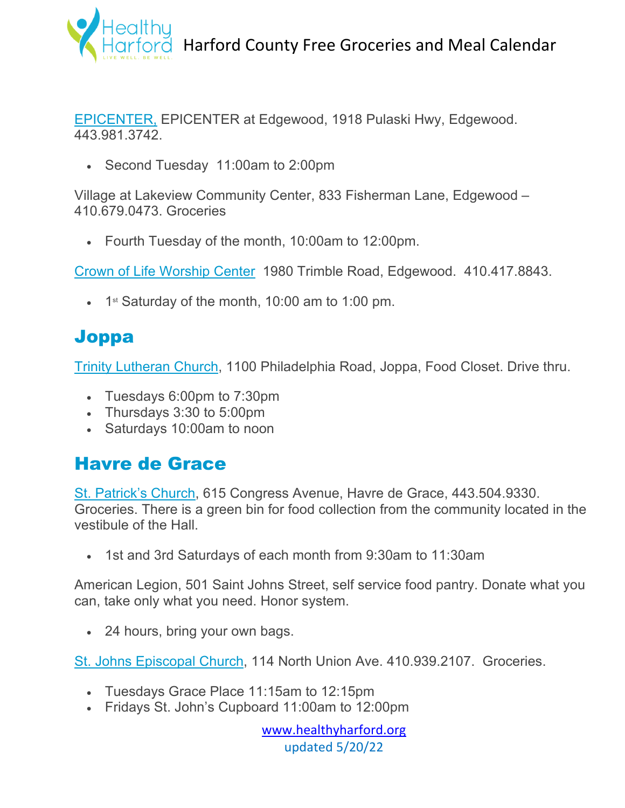

EPICENTER, EPICENTER at Edgewood, 1918 Pulaski Hwy, Edgewood. 443.981.3742.

• Second Tuesday 11:00am to 2:00pm

Village at Lakeview Community Center, 833 Fisherman Lane, Edgewood – 410.679.0473. Groceries

• Fourth Tuesday of the month, 10:00am to 12:00pm.

Crown of Life Worship Center 1980 Trimble Road, Edgewood. 410.417.8843.

 $\bullet$  1<sup>st</sup> Saturday of the month, 10:00 am to 1:00 pm.

# **Joppa**

Trinity Lutheran Church, 1100 Philadelphia Road, Joppa, Food Closet. Drive thru.

- Tuesdays 6:00pm to 7:30pm
- Thursdays 3:30 to 5:00pm
- Saturdays 10:00am to noon

### Havre de Grace

St. Patrick's Church, 615 Congress Avenue, Havre de Grace, 443.504.9330. Groceries. There is a green bin for food collection from the community located in the vestibule of the Hall.

• 1st and 3rd Saturdays of each month from 9:30am to 11:30am

American Legion, 501 Saint Johns Street, self service food pantry. Donate what you can, take only what you need. Honor system.

• 24 hours, bring your own bags.

St. Johns Episcopal Church, 114 North Union Ave. 410.939.2107. Groceries.

- Tuesdays Grace Place 11:15am to 12:15pm
- Fridays St. John's Cupboard 11:00am to 12:00pm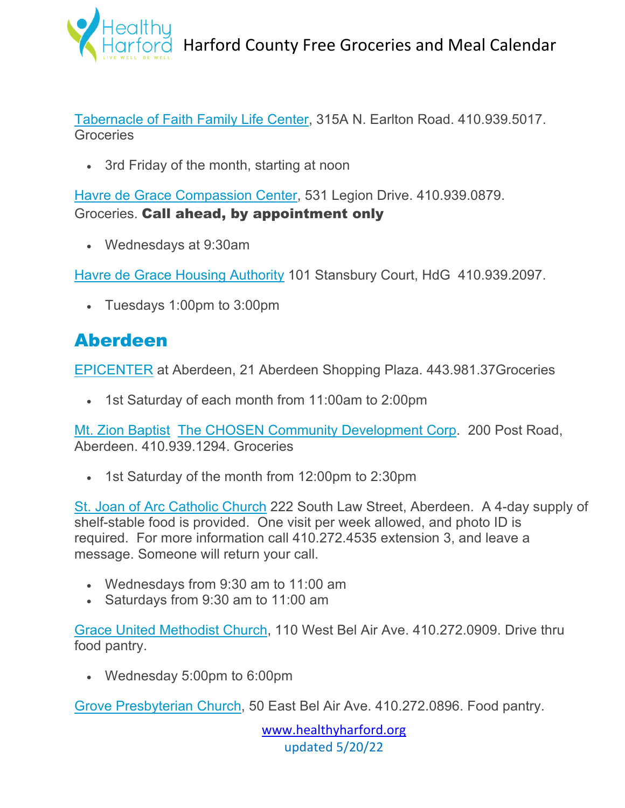

Tabernacle of Faith Family Life Center, 315A N. Earlton Road. 410.939.5017. **Groceries** 

• 3rd Friday of the month, starting at noon

Havre de Grace Compassion Center, 531 Legion Drive. 410.939.0879. Groceries. Call ahead, by appointment only

• Wednesdays at 9:30am

Havre de Grace Housing Authority 101 Stansbury Court, HdG 410.939.2097.

• Tuesdays 1:00pm to 3:00pm

### Aberdeen

EPICENTER at Aberdeen, 21 Aberdeen Shopping Plaza. 443.981.37Groceries

• 1st Saturday of each month from 11:00am to 2:00pm

Mt. Zion Baptist The CHOSEN Community Development Corp. 200 Post Road, Aberdeen. 410.939.1294. Groceries

• 1st Saturday of the month from 12:00pm to 2:30pm

St. Joan of Arc Catholic Church 222 South Law Street, Aberdeen. A 4-day supply of shelf-stable food is provided. One visit per week allowed, and photo ID is required. For more information call 410.272.4535 extension 3, and leave a message. Someone will return your call.

- Wednesdays from 9:30 am to 11:00 am
- Saturdays from 9:30 am to 11:00 am

Grace United Methodist Church, 110 West Bel Air Ave. 410.272.0909. Drive thru food pantry.

• Wednesday 5:00pm to 6:00pm

Grove Presbyterian Church, 50 East Bel Air Ave. 410.272.0896. Food pantry.